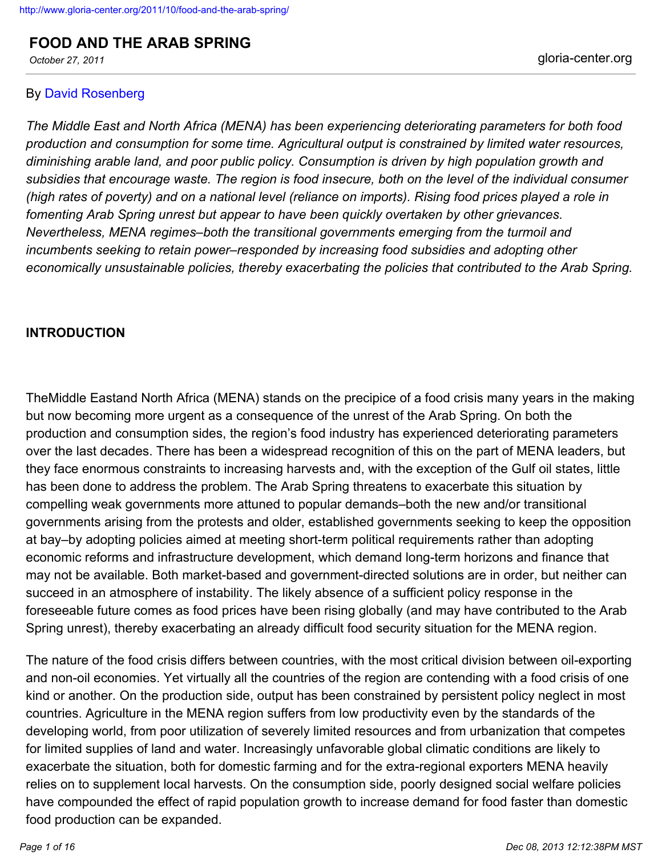**FOOD AND THE ARAB SPRING**

# By [David Rosenberg](http://www.gloria-center.org/author/davidrosenberg/)

*The Middle East and North Africa (MENA) has been experiencing deteriorating parameters for both food production and consumption for some time. Agricultural output is constrained by limited water resources, diminishing arable land, and poor public policy. Consumption is driven by high population growth and subsidies that encourage waste. The region is food insecure, both on the level of the individual consumer (high rates of poverty) and on a national level (reliance on imports). Rising food prices played a role in fomenting Arab Spring unrest but appear to have been quickly overtaken by other grievances. Nevertheless, MENA regimes–both the transitional governments emerging from the turmoil and incumbents seeking to retain power–responded by increasing food subsidies and adopting other economically unsustainable policies, thereby exacerbating the policies that contributed to the Arab Spring.*

# **INTRODUCTION**

TheMiddle Eastand North Africa (MENA) stands on the precipice of a food crisis many years in the making but now becoming more urgent as a consequence of the unrest of the Arab Spring. On both the production and consumption sides, the region's food industry has experienced deteriorating parameters over the last decades. There has been a widespread recognition of this on the part of MENA leaders, but they face enormous constraints to increasing harvests and, with the exception of the Gulf oil states, little has been done to address the problem. The Arab Spring threatens to exacerbate this situation by compelling weak governments more attuned to popular demands–both the new and/or transitional governments arising from the protests and older, established governments seeking to keep the opposition at bay–by adopting policies aimed at meeting short-term political requirements rather than adopting economic reforms and infrastructure development, which demand long-term horizons and finance that may not be available. Both market-based and government-directed solutions are in order, but neither can succeed in an atmosphere of instability. The likely absence of a sufficient policy response in the foreseeable future comes as food prices have been rising globally (and may have contributed to the Arab Spring unrest), thereby exacerbating an already difficult food security situation for the MENA region.

The nature of the food crisis differs between countries, with the most critical division between oil-exporting and non-oil economies. Yet virtually all the countries of the region are contending with a food crisis of one kind or another. On the production side, output has been constrained by persistent policy neglect in most countries. Agriculture in the MENA region suffers from low productivity even by the standards of the developing world, from poor utilization of severely limited resources and from urbanization that competes for limited supplies of land and water. Increasingly unfavorable global climatic conditions are likely to exacerbate the situation, both for domestic farming and for the extra-regional exporters MENA heavily relies on to supplement local harvests. On the consumption side, poorly designed social welfare policies have compounded the effect of rapid population growth to increase demand for food faster than domestic food production can be expanded.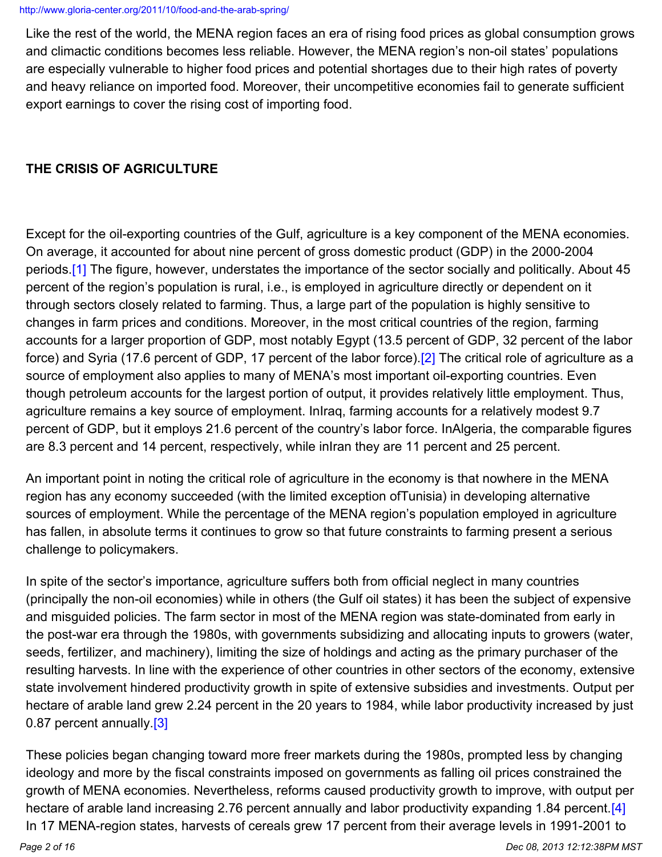Like the rest of the world, the MENA region faces an era of rising food prices as global consumption grows and climactic conditions becomes less reliable. However, the MENA region's non-oil states' populations are especially vulnerable to higher food prices and potential shortages due to their high rates of poverty and heavy reliance on imported food. Moreover, their uncompetitive economies fail to generate sufficient export earnings to cover the rising cost of importing food.

# **THE CRISIS OF AGRICULTURE**

Except for the oil-exporting countries of the Gulf, agriculture is a key component of the MENA economies. On average, it accounted for about nine percent of gross domestic product (GDP) in the 2000-2004 periods.[\[1\]](http://www.gloria-center.org/2011/10/food-and-the-arab-spring/#_edn1) The figure, however, understates the importance of the sector socially and politically. About 45 percent of the region's population is rural, i.e., is employed in agriculture directly or dependent on it through sectors closely related to farming. Thus, a large part of the population is highly sensitive to changes in farm prices and conditions. Moreover, in the most critical countries of the region, farming accounts for a larger proportion of GDP, most notably Egypt (13.5 percent of GDP, 32 percent of the labor force) and Syria (17.6 percent of GDP, 17 percent of the labor force).<sup>[2]</sup> The critical role of agriculture as a source of employment also applies to many of MENA's most important oil-exporting countries. Even though petroleum accounts for the largest portion of output, it provides relatively little employment. Thus, agriculture remains a key source of employment. InIraq, farming accounts for a relatively modest 9.7 percent of GDP, but it employs 21.6 percent of the country's labor force. InAlgeria, the comparable figures are 8.3 percent and 14 percent, respectively, while inIran they are 11 percent and 25 percent.

An important point in noting the critical role of agriculture in the economy is that nowhere in the MENA region has any economy succeeded (with the limited exception ofTunisia) in developing alternative sources of employment. While the percentage of the MENA region's population employed in agriculture has fallen, in absolute terms it continues to grow so that future constraints to farming present a serious challenge to policymakers.

In spite of the sector's importance, agriculture suffers both from official neglect in many countries (principally the non-oil economies) while in others (the Gulf oil states) it has been the subject of expensive and misguided policies. The farm sector in most of the MENA region was state-dominated from early in the post-war era through the 1980s, with governments subsidizing and allocating inputs to growers (water, seeds, fertilizer, and machinery), limiting the size of holdings and acting as the primary purchaser of the resulting harvests. In line with the experience of other countries in other sectors of the economy, extensive state involvement hindered productivity growth in spite of extensive subsidies and investments. Output per hectare of arable land grew 2.24 percent in the 20 years to 1984, while labor productivity increased by just 0.87 percent annually.<sup>[3]</sup>

These policies began changing toward more freer markets during the 1980s, prompted less by changing ideology and more by the fiscal constraints imposed on governments as falling oil prices constrained the growth of MENA economies. Nevertheless, reforms caused productivity growth to improve, with output per hectare of arable land increasing 2.76 percent annually and labor productivity expanding 1.84 percent [\[4\]](http://www.gloria-center.org/2011/10/food-and-the-arab-spring/#_edn4) In 17 MENA-region states, harvests of cereals grew 17 percent from their average levels in 1991-2001 to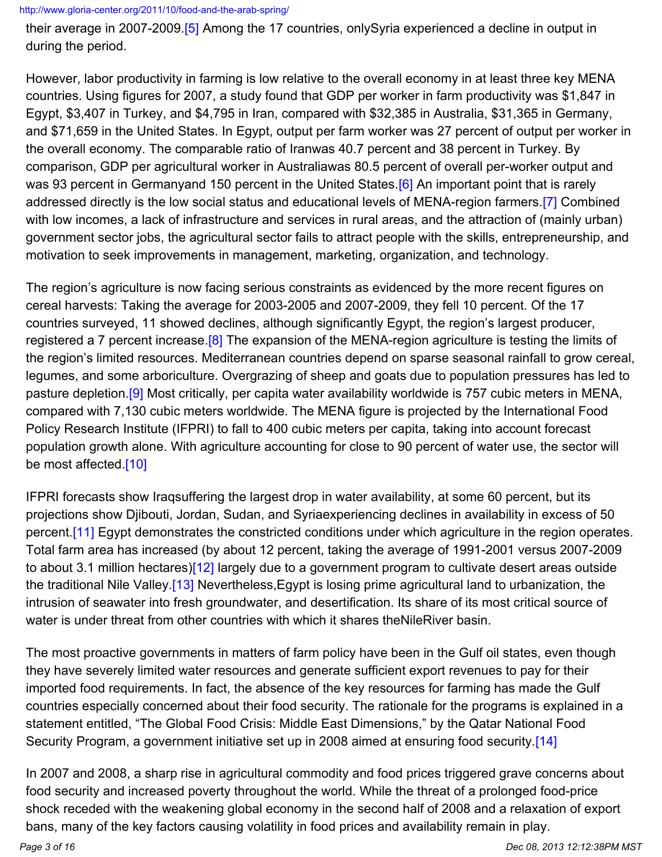their average in 2007-2009.[\[5\]](http://www.gloria-center.org/2011/10/food-and-the-arab-spring/#_edn5) Among the 17 countries, onlySyria experienced a decline in output in during the period.

However, labor productivity in farming is low relative to the overall economy in at least three key MENA countries. Using figures for 2007, a study found that GDP per worker in farm productivity was \$1,847 in Egypt, \$3,407 in Turkey, and \$4,795 in Iran, compared with \$32,385 in Australia, \$31,365 in Germany, and \$71,659 in the United States. In Egypt, output per farm worker was 27 percent of output per worker in the overall economy. The comparable ratio of Iranwas 40.7 percent and 38 percent in Turkey. By comparison, GDP per agricultural worker in Australiawas 80.5 percent of overall per-worker output and was 93 percent in Germanyand 150 percent in the United States.<sup>[\[6\]](http://www.gloria-center.org/2011/10/food-and-the-arab-spring/#_edn6)</sup> An important point that is rarely addressed directly is the low social status and educational levels of MENA-region farmers.[\[7\]](http://www.gloria-center.org/2011/10/food-and-the-arab-spring/#_edn7) Combined with low incomes, a lack of infrastructure and services in rural areas, and the attraction of (mainly urban) government sector jobs, the agricultural sector fails to attract people with the skills, entrepreneurship, and motivation to seek improvements in management, marketing, organization, and technology.

The region's agriculture is now facing serious constraints as evidenced by the more recent figures on cereal harvests: Taking the average for 2003-2005 and 2007-2009, they fell 10 percent. Of the 17 countries surveyed, 11 showed declines, although significantly Egypt, the region's largest producer, registered a 7 percent increase.<sup>[\[8\]](http://www.gloria-center.org/2011/10/food-and-the-arab-spring/#_edn8)</sup> The expansion of the MENA-region agriculture is testing the limits of the region's limited resources. Mediterranean countries depend on sparse seasonal rainfall to grow cereal, legumes, and some arboriculture. Overgrazing of sheep and goats due to population pressures has led to pasture depletion[.\[9\]](http://www.gloria-center.org/2011/10/food-and-the-arab-spring/#_edn9) Most critically, per capita water availability worldwide is 757 cubic meters in MENA, compared with 7,130 cubic meters worldwide. The MENA figure is projected by the International Food Policy Research Institute (IFPRI) to fall to 400 cubic meters per capita, taking into account forecast population growth alone. With agriculture accounting for close to 90 percent of water use, the sector will be most affected.[\[10\]](http://www.gloria-center.org/2011/10/food-and-the-arab-spring/#_edn10)

IFPRI forecasts show Iraqsuffering the largest drop in water availability, at some 60 percent, but its projections show Djibouti, Jordan, Sudan, and Syriaexperiencing declines in availability in excess of 50 percent.<sup>[11]</sup> Egypt demonstrates the constricted conditions under which agriculture in the region operates. Total farm area has increased (by about 12 percent, taking the average of 1991-2001 versus 2007-2009 to about 3.1 million hectares)[\[12\]](http://www.gloria-center.org/2011/10/food-and-the-arab-spring/#_edn12) largely due to a government program to cultivate desert areas outside the traditional Nile Valley[.\[13\]](http://www.gloria-center.org/2011/10/food-and-the-arab-spring/#_edn13) Nevertheless,Egypt is losing prime agricultural land to urbanization, the intrusion of seawater into fresh groundwater, and desertification. Its share of its most critical source of water is under threat from other countries with which it shares theNileRiver basin.

The most proactive governments in matters of farm policy have been in the Gulf oil states, even though they have severely limited water resources and generate sufficient export revenues to pay for their imported food requirements. In fact, the absence of the key resources for farming has made the Gulf countries especially concerned about their food security. The rationale for the programs is explained in a statement entitled, "The Global Food Crisis: Middle East Dimensions," by the Qatar National Food Security Program, a government initiative set up in 2008 aimed at ensuring food security [14]

In 2007 and 2008, a sharp rise in agricultural commodity and food prices triggered grave concerns about food security and increased poverty throughout the world. While the threat of a prolonged food-price shock receded with the weakening global economy in the second half of 2008 and a relaxation of export bans, many of the key factors causing volatility in food prices and availability remain in play.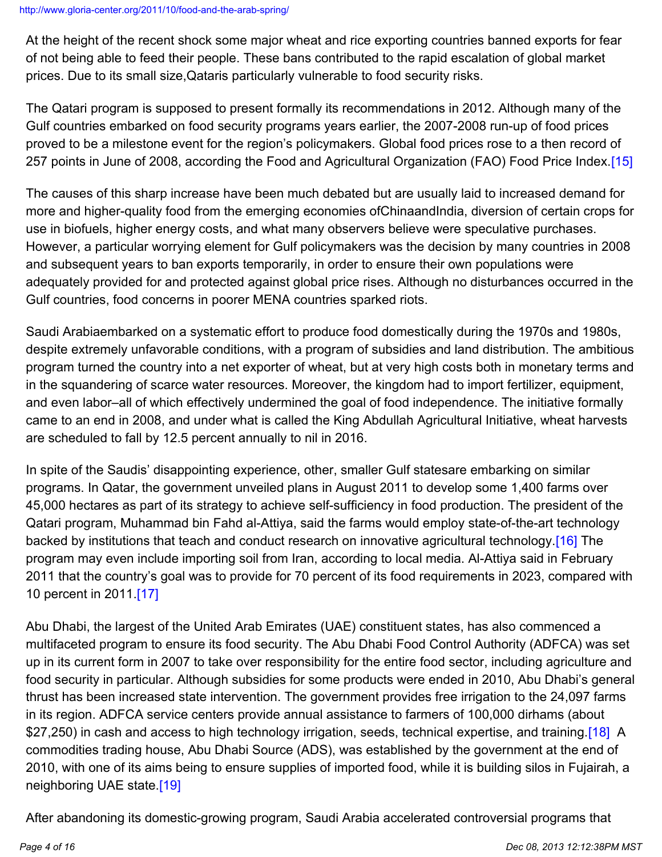At the height of the recent shock some major wheat and rice exporting countries banned exports for fear of not being able to feed their people. These bans contributed to the rapid escalation of global market prices. Due to its small size,Qataris particularly vulnerable to food security risks.

The Qatari program is supposed to present formally its recommendations in 2012. Although many of the Gulf countries embarked on food security programs years earlier, the 2007-2008 run-up of food prices proved to be a milestone event for the region's policymakers. Global food prices rose to a then record of 257 points in June of 2008, according the Food and Agricultural Organization (FAO) Food Price Index.[\[15\]](http://www.gloria-center.org/2011/10/food-and-the-arab-spring/#_edn15)

The causes of this sharp increase have been much debated but are usually laid to increased demand for more and higher-quality food from the emerging economies ofChinaandIndia, diversion of certain crops for use in biofuels, higher energy costs, and what many observers believe were speculative purchases. However, a particular worrying element for Gulf policymakers was the decision by many countries in 2008 and subsequent years to ban exports temporarily, in order to ensure their own populations were adequately provided for and protected against global price rises. Although no disturbances occurred in the Gulf countries, food concerns in poorer MENA countries sparked riots.

Saudi Arabiaembarked on a systematic effort to produce food domestically during the 1970s and 1980s, despite extremely unfavorable conditions, with a program of subsidies and land distribution. The ambitious program turned the country into a net exporter of wheat, but at very high costs both in monetary terms and in the squandering of scarce water resources. Moreover, the kingdom had to import fertilizer, equipment, and even labor–all of which effectively undermined the goal of food independence. The initiative formally came to an end in 2008, and under what is called the King Abdullah Agricultural Initiative, wheat harvests are scheduled to fall by 12.5 percent annually to nil in 2016.

In spite of the Saudis' disappointing experience, other, smaller Gulf statesare embarking on similar programs. In Qatar, the government unveiled plans in August 2011 to develop some 1,400 farms over 45,000 hectares as part of its strategy to achieve self-sufficiency in food production. The president of the Qatari program, Muhammad bin Fahd al-Attiya, said the farms would employ state-of-the-art technology backed by institutions that teach and conduct research on innovative agricultural technology.[\[16\]](http://www.gloria-center.org/2011/10/food-and-the-arab-spring/#_edn16) The program may even include importing soil from Iran, according to local media. Al-Attiya said in February 2011 that the country's goal was to provide for 70 percent of its food requirements in 2023, compared with 10 percent in 2011.[\[17\]](http://www.gloria-center.org/2011/10/food-and-the-arab-spring/#_edn17)

Abu Dhabi, the largest of the United Arab Emirates (UAE) constituent states, has also commenced a multifaceted program to ensure its food security. The Abu Dhabi Food Control Authority (ADFCA) was set up in its current form in 2007 to take over responsibility for the entire food sector, including agriculture and food security in particular. Although subsidies for some products were ended in 2010, Abu Dhabi's general thrust has been increased state intervention. The government provides free irrigation to the 24,097 farms in its region. ADFCA service centers provide annual assistance to farmers of 100,000 dirhams (about \$27,250) in cash and access to high technology irrigation, seeds, technical expertise, and training.[\[18\]](http://www.gloria-center.org/2011/10/food-and-the-arab-spring/#_edn18) A commodities trading house, Abu Dhabi Source (ADS), was established by the government at the end of 2010, with one of its aims being to ensure supplies of imported food, while it is building silos in Fujairah, a neighboring UAE state[.\[19\]](http://www.gloria-center.org/2011/10/food-and-the-arab-spring/#_edn19)

After abandoning its domestic-growing program, Saudi Arabia accelerated controversial programs that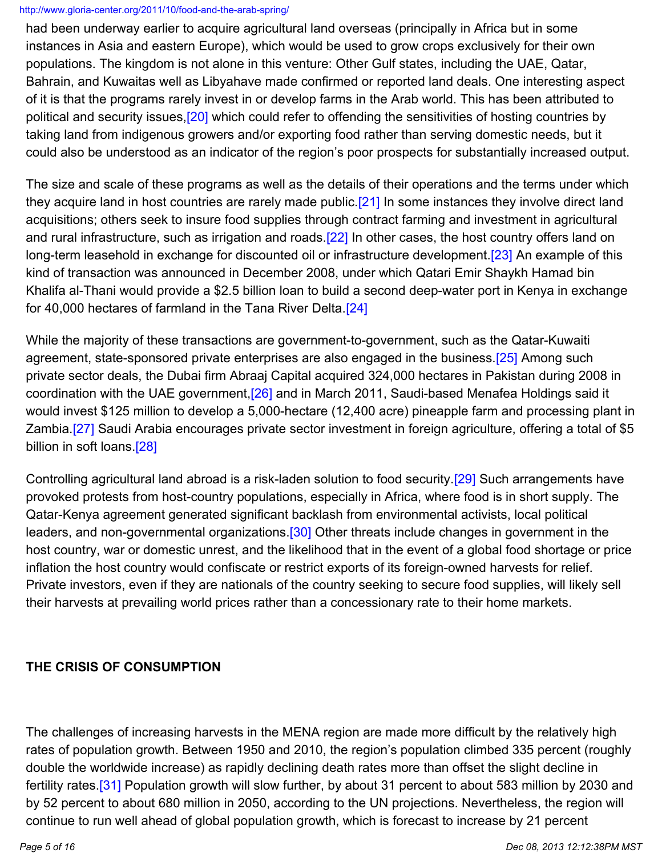had been underway earlier to acquire agricultural land overseas (principally in Africa but in some instances in Asia and eastern Europe), which would be used to grow crops exclusively for their own populations. The kingdom is not alone in this venture: Other Gulf states, including the UAE, Qatar, Bahrain, and Kuwaitas well as Libyahave made confirmed or reported land deals. One interesting aspect of it is that the programs rarely invest in or develop farms in the Arab world. This has been attributed to political and security issues,<sup>[20]</sup> which could refer to offending the sensitivities of hosting countries by taking land from indigenous growers and/or exporting food rather than serving domestic needs, but it could also be understood as an indicator of the region's poor prospects for substantially increased output.

The size and scale of these programs as well as the details of their operations and the terms under which they acquire land in host countries are rarely made public. [\[21\]](http://www.gloria-center.org/2011/10/food-and-the-arab-spring/#_edn21) In some instances they involve direct land acquisitions; others seek to insure food supplies through contract farming and investment in agricultural and rural infrastructure, such as irrigation and roads.<sup>[\[22\]](http://www.gloria-center.org/2011/10/food-and-the-arab-spring/#_edn22)</sup> In other cases, the host country offers land on long-term leasehold in exchange for discounted oil or infrastructure development.<sup>[\[23\]](http://www.gloria-center.org/2011/10/food-and-the-arab-spring/#_edn23)</sup> An example of this kind of transaction was announced in December 2008, under which Qatari Emir Shaykh Hamad bin Khalifa al-Thani would provide a \$2.5 billion loan to build a second deep-water port in Kenya in exchange for 40,000 hectares of farmland in the Tana River Delta.[\[24\]](http://www.gloria-center.org/2011/10/food-and-the-arab-spring/#_edn24)

While the majority of these transactions are government-to-government, such as the Qatar-Kuwaiti agreement, state-sponsored private enterprises are also engaged in the business.<sup>[25]</sup> Among such private sector deals, the Dubai firm Abraaj Capital acquired 324,000 hectares in Pakistan during 2008 in coordination with the UAE government,[\[26\]](http://www.gloria-center.org/2011/10/food-and-the-arab-spring/#_edn26) and in March 2011, Saudi-based Menafea Holdings said it would invest \$125 million to develop a 5,000-hectare (12,400 acre) pineapple farm and processing plant in Zambia.<sup>[27]</sup> Saudi Arabia encourages private sector investment in foreign agriculture, offering a total of \$5 billion in soft loans.<sup>[28]</sup>

Controlling agricultural land abroad is a risk-laden solution to food security.[\[29\]](http://www.gloria-center.org/2011/10/food-and-the-arab-spring/#_edn29) Such arrangements have provoked protests from host-country populations, especially in Africa, where food is in short supply. The Qatar-Kenya agreement generated significant backlash from environmental activists, local political leaders, and non-governmental organizations.<sup>[30]</sup> Other threats include changes in government in the host country, war or domestic unrest, and the likelihood that in the event of a global food shortage or price inflation the host country would confiscate or restrict exports of its foreign-owned harvests for relief. Private investors, even if they are nationals of the country seeking to secure food supplies, will likely sell their harvests at prevailing world prices rather than a concessionary rate to their home markets.

## **THE CRISIS OF CONSUMPTION**

The challenges of increasing harvests in the MENA region are made more difficult by the relatively high rates of population growth. Between 1950 and 2010, the region's population climbed 335 percent (roughly double the worldwide increase) as rapidly declining death rates more than offset the slight decline in fertility rates.[\[31\]](http://www.gloria-center.org/2011/10/food-and-the-arab-spring/#_edn31) Population growth will slow further, by about 31 percent to about 583 million by 2030 and by 52 percent to about 680 million in 2050, according to the UN projections. Nevertheless, the region will continue to run well ahead of global population growth, which is forecast to increase by 21 percent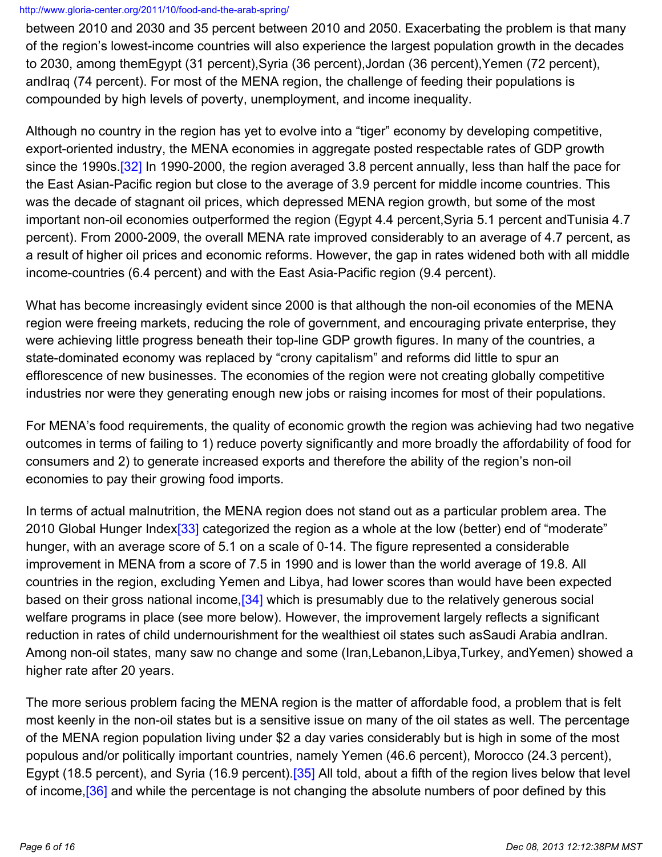between 2010 and 2030 and 35 percent between 2010 and 2050. Exacerbating the problem is that many of the region's lowest-income countries will also experience the largest population growth in the decades to 2030, among themEgypt (31 percent),Syria (36 percent),Jordan (36 percent),Yemen (72 percent), andIraq (74 percent). For most of the MENA region, the challenge of feeding their populations is compounded by high levels of poverty, unemployment, and income inequality.

Although no country in the region has yet to evolve into a "tiger" economy by developing competitive, export-oriented industry, the MENA economies in aggregate posted respectable rates of GDP growth since the 1990s [32] In 1990-2000, the region averaged 3.8 percent annually, less than half the pace for the East Asian-Pacific region but close to the average of 3.9 percent for middle income countries. This was the decade of stagnant oil prices, which depressed MENA region growth, but some of the most important non-oil economies outperformed the region (Egypt 4.4 percent,Syria 5.1 percent andTunisia 4.7 percent). From 2000-2009, the overall MENA rate improved considerably to an average of 4.7 percent, as a result of higher oil prices and economic reforms. However, the gap in rates widened both with all middle income-countries (6.4 percent) and with the East Asia-Pacific region (9.4 percent).

What has become increasingly evident since 2000 is that although the non-oil economies of the MENA region were freeing markets, reducing the role of government, and encouraging private enterprise, they were achieving little progress beneath their top-line GDP growth figures. In many of the countries, a state-dominated economy was replaced by "crony capitalism" and reforms did little to spur an efflorescence of new businesses. The economies of the region were not creating globally competitive industries nor were they generating enough new jobs or raising incomes for most of their populations.

For MENA's food requirements, the quality of economic growth the region was achieving had two negative outcomes in terms of failing to 1) reduce poverty significantly and more broadly the affordability of food for consumers and 2) to generate increased exports and therefore the ability of the region's non-oil economies to pay their growing food imports.

In terms of actual malnutrition, the MENA region does not stand out as a particular problem area. The 2010 Global Hunger Index<sup>[33]</sup> categorized the region as a whole at the low (better) end of "moderate" hunger, with an average score of 5.1 on a scale of 0-14. The figure represented a considerable improvement in MENA from a score of 7.5 in 1990 and is lower than the world average of 19.8. All countries in the region, excluding Yemen and Libya, had lower scores than would have been expected based on their gross national income, [34] which is presumably due to the relatively generous social welfare programs in place (see more below). However, the improvement largely reflects a significant reduction in rates of child undernourishment for the wealthiest oil states such asSaudi Arabia andIran. Among non-oil states, many saw no change and some (Iran,Lebanon,Libya,Turkey, andYemen) showed a higher rate after 20 years.

The more serious problem facing the MENA region is the matter of affordable food, a problem that is felt most keenly in the non-oil states but is a sensitive issue on many of the oil states as well. The percentage of the MENA region population living under \$2 a day varies considerably but is high in some of the most populous and/or politically important countries, namely Yemen (46.6 percent), Morocco (24.3 percent), Egypt (18.5 percent), and Syria (16.9 percent).<sup>[35]</sup> All told, about a fifth of the region lives below that level of income, [36] and while the percentage is not changing the absolute numbers of poor defined by this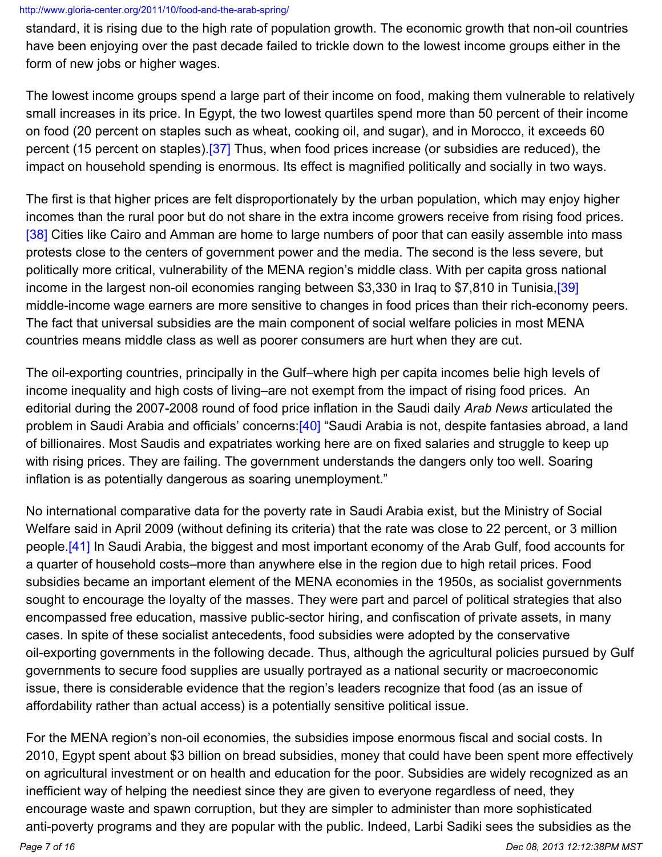standard, it is rising due to the high rate of population growth. The economic growth that non-oil countries have been enjoying over the past decade failed to trickle down to the lowest income groups either in the form of new jobs or higher wages.

The lowest income groups spend a large part of their income on food, making them vulnerable to relatively small increases in its price. In Egypt, the two lowest quartiles spend more than 50 percent of their income on food (20 percent on staples such as wheat, cooking oil, and sugar), and in Morocco, it exceeds 60 percent (15 percent on staples)[.\[37\]](http://www.gloria-center.org/2011/10/food-and-the-arab-spring/#_edn37) Thus, when food prices increase (or subsidies are reduced), the impact on household spending is enormous. Its effect is magnified politically and socially in two ways.

The first is that higher prices are felt disproportionately by the urban population, which may enjoy higher incomes than the rural poor but do not share in the extra income growers receive from rising food prices. [\[38\]](http://www.gloria-center.org/2011/10/food-and-the-arab-spring/#_edn38) Cities like Cairo and Amman are home to large numbers of poor that can easily assemble into mass protests close to the centers of government power and the media. The second is the less severe, but politically more critical, vulnerability of the MENA region's middle class. With per capita gross national income in the largest non-oil economies ranging between \$3,330 in Iraq to \$7,810 in Tunisia, [\[39\]](http://www.gloria-center.org/2011/10/food-and-the-arab-spring/#_edn39) middle-income wage earners are more sensitive to changes in food prices than their rich-economy peers. The fact that universal subsidies are the main component of social welfare policies in most MENA countries means middle class as well as poorer consumers are hurt when they are cut.

The oil-exporting countries, principally in the Gulf–where high per capita incomes belie high levels of income inequality and high costs of living–are not exempt from the impact of rising food prices. An editorial during the 2007-2008 round of food price inflation in the Saudi daily *Arab News* articulated the problem in Saudi Arabia and officials' concerns: [\[40\]](http://www.gloria-center.org/2011/10/food-and-the-arab-spring/#_edn40) "Saudi Arabia is not, despite fantasies abroad, a land of billionaires. Most Saudis and expatriates working here are on fixed salaries and struggle to keep up with rising prices. They are failing. The government understands the dangers only too well. Soaring inflation is as potentially dangerous as soaring unemployment."

No international comparative data for the poverty rate in Saudi Arabia exist, but the Ministry of Social Welfare said in April 2009 (without defining its criteria) that the rate was close to 22 percent, or 3 million people[.\[41\]](http://www.gloria-center.org/2011/10/food-and-the-arab-spring/#_edn41) In Saudi Arabia, the biggest and most important economy of the Arab Gulf, food accounts for a quarter of household costs–more than anywhere else in the region due to high retail prices. Food subsidies became an important element of the MENA economies in the 1950s, as socialist governments sought to encourage the loyalty of the masses. They were part and parcel of political strategies that also encompassed free education, massive public-sector hiring, and confiscation of private assets, in many cases. In spite of these socialist antecedents, food subsidies were adopted by the conservative oil-exporting governments in the following decade. Thus, although the agricultural policies pursued by Gulf governments to secure food supplies are usually portrayed as a national security or macroeconomic issue, there is considerable evidence that the region's leaders recognize that food (as an issue of affordability rather than actual access) is a potentially sensitive political issue.

For the MENA region's non-oil economies, the subsidies impose enormous fiscal and social costs. In 2010, Egypt spent about \$3 billion on bread subsidies, money that could have been spent more effectively on agricultural investment or on health and education for the poor. Subsidies are widely recognized as an inefficient way of helping the neediest since they are given to everyone regardless of need, they encourage waste and spawn corruption, but they are simpler to administer than more sophisticated anti-poverty programs and they are popular with the public. Indeed, Larbi Sadiki sees the subsidies as the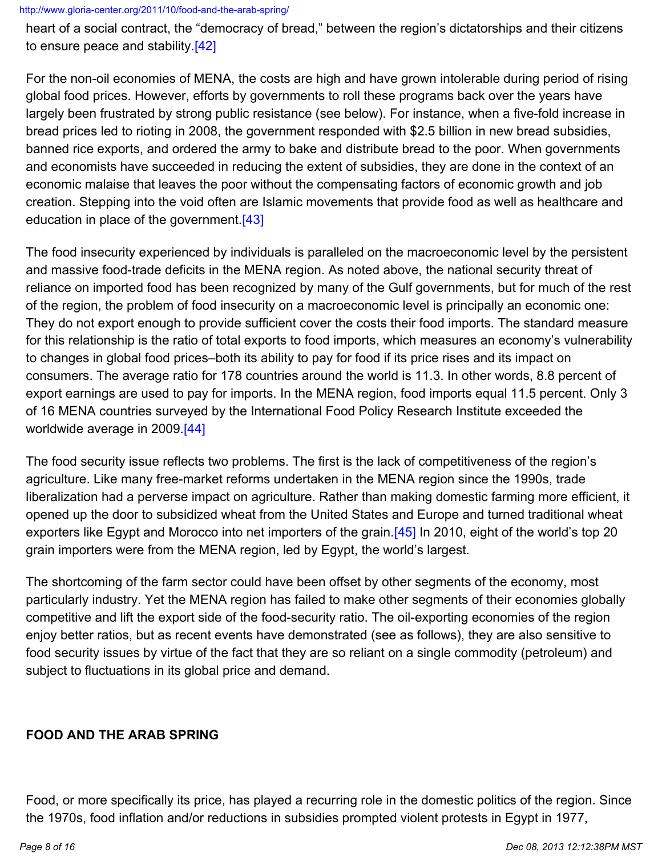heart of a social contract, the "democracy of bread," between the region's dictatorships and their citizens to ensure peace and stability.[\[42\]](http://www.gloria-center.org/2011/10/food-and-the-arab-spring/#_edn42)

For the non-oil economies of MENA, the costs are high and have grown intolerable during period of rising global food prices. However, efforts by governments to roll these programs back over the years have largely been frustrated by strong public resistance (see below). For instance, when a five-fold increase in bread prices led to rioting in 2008, the government responded with \$2.5 billion in new bread subsidies, banned rice exports, and ordered the army to bake and distribute bread to the poor. When governments and economists have succeeded in reducing the extent of subsidies, they are done in the context of an economic malaise that leaves the poor without the compensating factors of economic growth and job creation. Stepping into the void often are Islamic movements that provide food as well as healthcare and education in place of the government.[\[43\]](http://www.gloria-center.org/2011/10/food-and-the-arab-spring/#_edn43)

The food insecurity experienced by individuals is paralleled on the macroeconomic level by the persistent and massive food-trade deficits in the MENA region. As noted above, the national security threat of reliance on imported food has been recognized by many of the Gulf governments, but for much of the rest of the region, the problem of food insecurity on a macroeconomic level is principally an economic one: They do not export enough to provide sufficient cover the costs their food imports. The standard measure for this relationship is the ratio of total exports to food imports, which measures an economy's vulnerability to changes in global food prices–both its ability to pay for food if its price rises and its impact on consumers. The average ratio for 178 countries around the world is 11.3. In other words, 8.8 percent of export earnings are used to pay for imports. In the MENA region, food imports equal 11.5 percent. Only 3 of 16 MENA countries surveyed by the International Food Policy Research Institute exceeded the worldwide average in 2009[.\[44\]](http://www.gloria-center.org/2011/10/food-and-the-arab-spring/#_edn44)

The food security issue reflects two problems. The first is the lack of competitiveness of the region's agriculture. Like many free-market reforms undertaken in the MENA region since the 1990s, trade liberalization had a perverse impact on agriculture. Rather than making domestic farming more efficient, it opened up the door to subsidized wheat from the United States and Europe and turned traditional wheat exporters like Egypt and Morocco into net importers of the grain. [\[45\]](http://www.gloria-center.org/2011/10/food-and-the-arab-spring/#_edn45) In 2010, eight of the world's top 20 grain importers were from the MENA region, led by Egypt, the world's largest.

The shortcoming of the farm sector could have been offset by other segments of the economy, most particularly industry. Yet the MENA region has failed to make other segments of their economies globally competitive and lift the export side of the food-security ratio. The oil-exporting economies of the region enjoy better ratios, but as recent events have demonstrated (see as follows), they are also sensitive to food security issues by virtue of the fact that they are so reliant on a single commodity (petroleum) and subject to fluctuations in its global price and demand.

## **FOOD AND THE ARAB SPRING**

Food, or more specifically its price, has played a recurring role in the domestic politics of the region. Since the 1970s, food inflation and/or reductions in subsidies prompted violent protests in Egypt in 1977,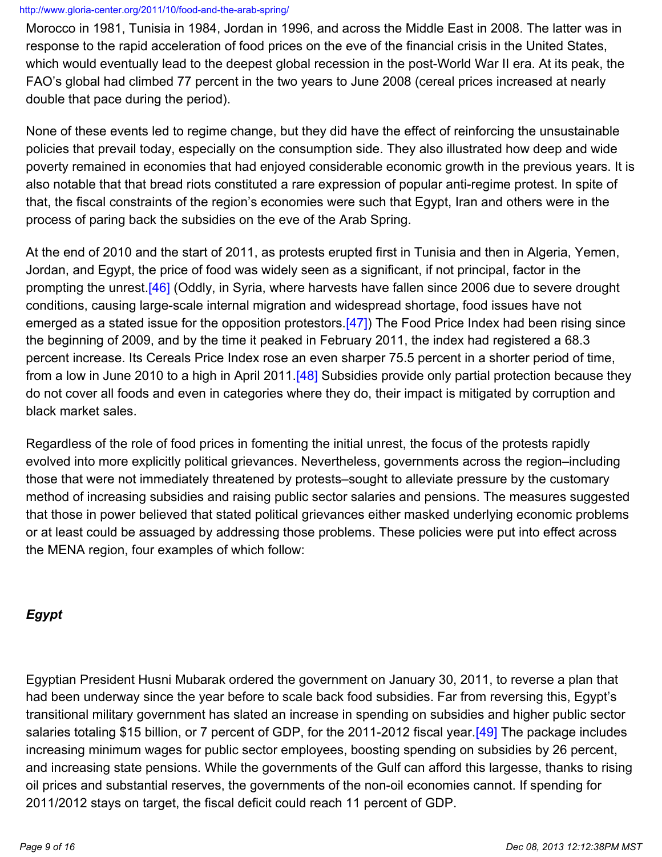Morocco in 1981, Tunisia in 1984, Jordan in 1996, and across the Middle East in 2008. The latter was in response to the rapid acceleration of food prices on the eve of the financial crisis in the United States, which would eventually lead to the deepest global recession in the post-World War II era. At its peak, the FAO's global had climbed 77 percent in the two years to June 2008 (cereal prices increased at nearly double that pace during the period).

None of these events led to regime change, but they did have the effect of reinforcing the unsustainable policies that prevail today, especially on the consumption side. They also illustrated how deep and wide poverty remained in economies that had enjoyed considerable economic growth in the previous years. It is also notable that that bread riots constituted a rare expression of popular anti-regime protest. In spite of that, the fiscal constraints of the region's economies were such that Egypt, Iran and others were in the process of paring back the subsidies on the eve of the Arab Spring.

At the end of 2010 and the start of 2011, as protests erupted first in Tunisia and then in Algeria, Yemen, Jordan, and Egypt, the price of food was widely seen as a significant, if not principal, factor in the prompting the unrest [46] (Oddly, in Syria, where harvests have fallen since 2006 due to severe drought conditions, causing large-scale internal migration and widespread shortage, food issues have not emerged as a stated issue for the opposition protestors.<sup>[\[47\]](http://www.gloria-center.org/2011/10/food-and-the-arab-spring/#_edn47)</sup>) The Food Price Index had been rising since the beginning of 2009, and by the time it peaked in February 2011, the index had registered a 68.3 percent increase. Its Cereals Price Index rose an even sharper 75.5 percent in a shorter period of time, from a low in June 2010 to a high in April 2011.<sup>[\[48\]](http://www.gloria-center.org/2011/10/food-and-the-arab-spring/#_edn48)</sup> Subsidies provide only partial protection because they do not cover all foods and even in categories where they do, their impact is mitigated by corruption and black market sales.

Regardless of the role of food prices in fomenting the initial unrest, the focus of the protests rapidly evolved into more explicitly political grievances. Nevertheless, governments across the region–including those that were not immediately threatened by protests–sought to alleviate pressure by the customary method of increasing subsidies and raising public sector salaries and pensions. The measures suggested that those in power believed that stated political grievances either masked underlying economic problems or at least could be assuaged by addressing those problems. These policies were put into effect across the MENA region, four examples of which follow:

## *Egypt*

Egyptian President Husni Mubarak ordered the government on January 30, 2011, to reverse a plan that had been underway since the year before to scale back food subsidies. Far from reversing this, Egypt's transitional military government has slated an increase in spending on subsidies and higher public sector salaries totaling \$15 billion, or 7 percent of GDP, for the 2011-2012 fiscal year.<sup>[\[49\]](http://www.gloria-center.org/2011/10/food-and-the-arab-spring/#_edn49)</sup> The package includes increasing minimum wages for public sector employees, boosting spending on subsidies by 26 percent, and increasing state pensions. While the governments of the Gulf can afford this largesse, thanks to rising oil prices and substantial reserves, the governments of the non-oil economies cannot. If spending for 2011/2012 stays on target, the fiscal deficit could reach 11 percent of GDP.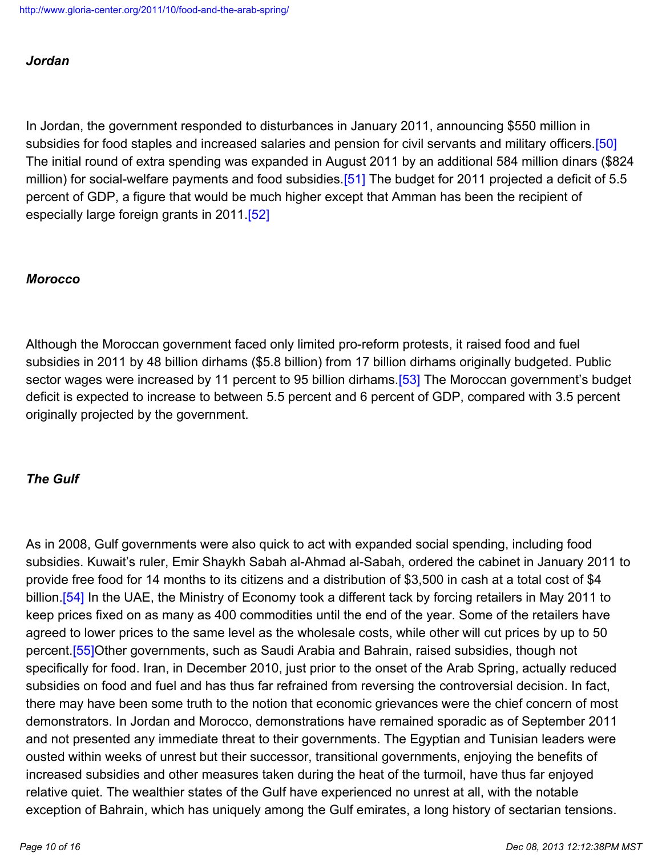### *Jordan*

In Jordan, the government responded to disturbances in January 2011, announcing \$550 million in subsidies for food staples and increased salaries and pension for civil servants and military officers.[\[50\]](http://www.gloria-center.org/2011/10/food-and-the-arab-spring/#_edn50) The initial round of extra spending was expanded in August 2011 by an additional 584 million dinars (\$824 million) for social-welfare payments and food subsidies.[\[51\]](http://www.gloria-center.org/2011/10/food-and-the-arab-spring/#_edn51) The budget for 2011 projected a deficit of 5.5 percent of GDP, a figure that would be much higher except that Amman has been the recipient of especially large foreign grants in 2011.<sup>[52]</sup>

### *Morocco*

Although the Moroccan government faced only limited pro-reform protests, it raised food and fuel subsidies in 2011 by 48 billion dirhams (\$5.8 billion) from 17 billion dirhams originally budgeted. Public sector wages were increased by 11 percent to 95 billion dirhams. [\[53\]](http://www.gloria-center.org/2011/10/food-and-the-arab-spring/#_edn53) The Moroccan government's budget deficit is expected to increase to between 5.5 percent and 6 percent of GDP, compared with 3.5 percent originally projected by the government.

### *The Gulf*

As in 2008, Gulf governments were also quick to act with expanded social spending, including food subsidies. Kuwait's ruler, Emir Shaykh Sabah al-Ahmad al-Sabah, ordered the cabinet in January 2011 to provide free food for 14 months to its citizens and a distribution of \$3,500 in cash at a total cost of \$4 billion.<sup>[\[54\]](http://www.gloria-center.org/2011/10/food-and-the-arab-spring/#_edn54)</sup> In the UAE, the Ministry of Economy took a different tack by forcing retailers in May 2011 to keep prices fixed on as many as 400 commodities until the end of the year. Some of the retailers have agreed to lower prices to the same level as the wholesale costs, while other will cut prices by up to 50 percent[.\[55\]](http://www.gloria-center.org/2011/10/food-and-the-arab-spring/#_edn55)Other governments, such as Saudi Arabia and Bahrain, raised subsidies, though not specifically for food. Iran, in December 2010, just prior to the onset of the Arab Spring, actually reduced subsidies on food and fuel and has thus far refrained from reversing the controversial decision. In fact, there may have been some truth to the notion that economic grievances were the chief concern of most demonstrators. In Jordan and Morocco, demonstrations have remained sporadic as of September 2011 and not presented any immediate threat to their governments. The Egyptian and Tunisian leaders were ousted within weeks of unrest but their successor, transitional governments, enjoying the benefits of increased subsidies and other measures taken during the heat of the turmoil, have thus far enjoyed relative quiet. The wealthier states of the Gulf have experienced no unrest at all, with the notable exception of Bahrain, which has uniquely among the Gulf emirates, a long history of sectarian tensions.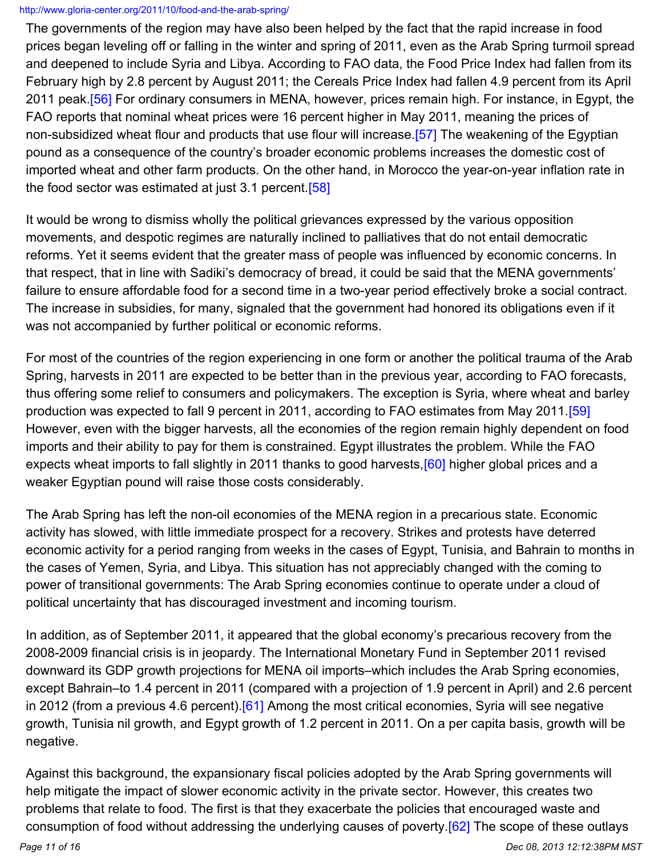The governments of the region may have also been helped by the fact that the rapid increase in food prices began leveling off or falling in the winter and spring of 2011, even as the Arab Spring turmoil spread and deepened to include Syria and Libya. According to FAO data, the Food Price Index had fallen from its February high by 2.8 percent by August 2011; the Cereals Price Index had fallen 4.9 percent from its April 2011 peak. [56] For ordinary consumers in MENA, however, prices remain high. For instance, in Egypt, the FAO reports that nominal wheat prices were 16 percent higher in May 2011, meaning the prices of non-subsidized wheat flour and products that use flour will increase. [\[57\]](http://www.gloria-center.org/2011/10/food-and-the-arab-spring/#_edn57) The weakening of the Egyptian pound as a consequence of the country's broader economic problems increases the domestic cost of imported wheat and other farm products. On the other hand, in Morocco the year-on-year inflation rate in the food sector was estimated at just 3.1 percent.<sup>[58]</sup>

It would be wrong to dismiss wholly the political grievances expressed by the various opposition movements, and despotic regimes are naturally inclined to palliatives that do not entail democratic reforms. Yet it seems evident that the greater mass of people was influenced by economic concerns. In that respect, that in line with Sadiki's democracy of bread, it could be said that the MENA governments' failure to ensure affordable food for a second time in a two-year period effectively broke a social contract. The increase in subsidies, for many, signaled that the government had honored its obligations even if it was not accompanied by further political or economic reforms.

For most of the countries of the region experiencing in one form or another the political trauma of the Arab Spring, harvests in 2011 are expected to be better than in the previous year, according to FAO forecasts, thus offering some relief to consumers and policymakers. The exception is Syria, where wheat and barley production was expected to fall 9 percent in 2011, according to FAO estimates from May 2011.[\[59\]](http://www.gloria-center.org/2011/10/food-and-the-arab-spring/#_edn59) However, even with the bigger harvests, all the economies of the region remain highly dependent on food imports and their ability to pay for them is constrained. Egypt illustrates the problem. While the FAO expects wheat imports to fall slightly in 2011 thanks to good harvests, [\[60\]](http://www.gloria-center.org/2011/10/food-and-the-arab-spring/#_edn60) higher global prices and a weaker Egyptian pound will raise those costs considerably.

The Arab Spring has left the non-oil economies of the MENA region in a precarious state. Economic activity has slowed, with little immediate prospect for a recovery. Strikes and protests have deterred economic activity for a period ranging from weeks in the cases of Egypt, Tunisia, and Bahrain to months in the cases of Yemen, Syria, and Libya. This situation has not appreciably changed with the coming to power of transitional governments: The Arab Spring economies continue to operate under a cloud of political uncertainty that has discouraged investment and incoming tourism.

In addition, as of September 2011, it appeared that the global economy's precarious recovery from the 2008-2009 financial crisis is in jeopardy. The International Monetary Fund in September 2011 revised downward its GDP growth projections for MENA oil imports–which includes the Arab Spring economies, except Bahrain–to 1.4 percent in 2011 (compared with a projection of 1.9 percent in April) and 2.6 percent in 2012 (from a previous 4.6 percent). [\[61\]](http://www.gloria-center.org/2011/10/food-and-the-arab-spring/#_edn61) Among the most critical economies, Syria will see negative growth, Tunisia nil growth, and Egypt growth of 1.2 percent in 2011. On a per capita basis, growth will be negative.

Against this background, the expansionary fiscal policies adopted by the Arab Spring governments will help mitigate the impact of slower economic activity in the private sector. However, this creates two problems that relate to food. The first is that they exacerbate the policies that encouraged waste and consumption of food without addressing the underlying causes of poverty.[\[62\]](http://www.gloria-center.org/2011/10/food-and-the-arab-spring/#_edn62) The scope of these outlays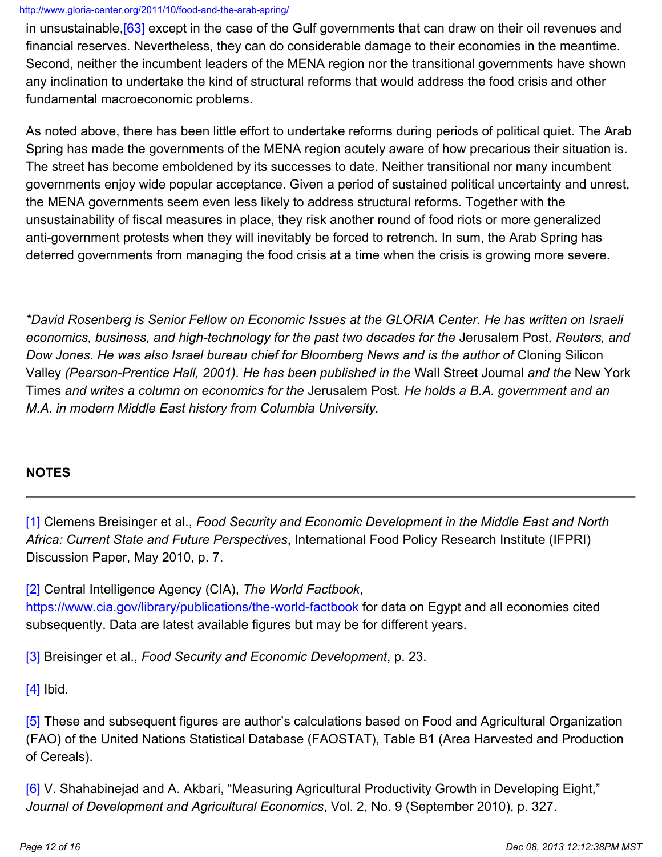in unsustainable[,\[63\]](http://www.gloria-center.org/2011/10/food-and-the-arab-spring/#_edn63) except in the case of the Gulf governments that can draw on their oil revenues and financial reserves. Nevertheless, they can do considerable damage to their economies in the meantime. Second, neither the incumbent leaders of the MENA region nor the transitional governments have shown any inclination to undertake the kind of structural reforms that would address the food crisis and other fundamental macroeconomic problems.

As noted above, there has been little effort to undertake reforms during periods of political quiet. The Arab Spring has made the governments of the MENA region acutely aware of how precarious their situation is. The street has become emboldened by its successes to date. Neither transitional nor many incumbent governments enjoy wide popular acceptance. Given a period of sustained political uncertainty and unrest, the MENA governments seem even less likely to address structural reforms. Together with the unsustainability of fiscal measures in place, they risk another round of food riots or more generalized anti-government protests when they will inevitably be forced to retrench. In sum, the Arab Spring has deterred governments from managing the food crisis at a time when the crisis is growing more severe.

*\*David Rosenberg is Senior Fellow on Economic Issues at the GLORIA Center. He has written on Israeli economics, business, and high-technology for the past two decades for the* Jerusalem Post*, Reuters, and Dow Jones. He was also Israel bureau chief for Bloomberg News and is the author of* Cloning Silicon Valley *(Pearson-Prentice Hall, 2001). He has been published in the* Wall Street Journal *and the* New York Times *and writes a column on economics for the* Jerusalem Post*. He holds a B.A. government and an M.A. in modern Middle East history from Columbia University.*

## **NOTES**

[\[1\]](http://www.gloria-center.org/2011/10/food-and-the-arab-spring/#_ednref1) Clemens Breisinger et al., *Food Security and Economic Development in the Middle East and North Africa: Current State and Future Perspectives*, International Food Policy Research Institute (IFPRI) Discussion Paper, May 2010, p. 7.

[\[2\]](http://www.gloria-center.org/2011/10/food-and-the-arab-spring/#_ednref2) Central Intelligence Agency (CIA), *The World Factbook*, <https://www.cia.gov/library/publications/the-world-factbook>for data on Egypt and all economies cited subsequently. Data are latest available figures but may be for different years.

[\[3\]](http://www.gloria-center.org/2011/10/food-and-the-arab-spring/#_ednref3) Breisinger et al., *Food Security and Economic Development*, p. 23.

 $[4]$  Ibid.

[\[5\]](http://www.gloria-center.org/2011/10/food-and-the-arab-spring/#_ednref5) These and subsequent figures are author's calculations based on Food and Agricultural Organization (FAO) of the United Nations Statistical Database (FAOSTAT), Table B1 (Area Harvested and Production of Cereals).

[\[6\]](http://www.gloria-center.org/2011/10/food-and-the-arab-spring/#_ednref6) V. Shahabinejad and A. Akbari, "Measuring Agricultural Productivity Growth in Developing Eight," *Journal of Development and Agricultural Economics*, Vol. 2, No. 9 (September 2010), p. 327.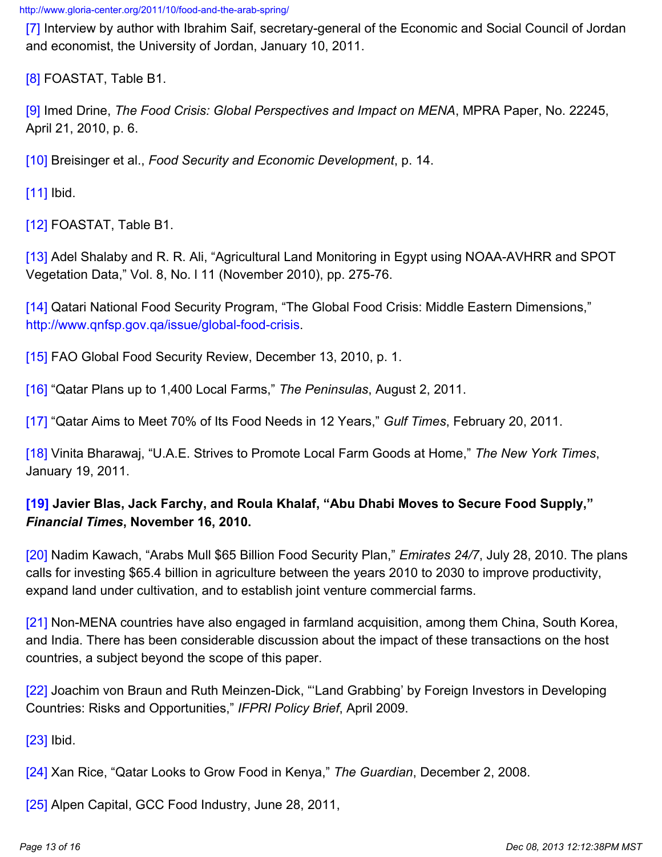[\[7\]](http://www.gloria-center.org/2011/10/food-and-the-arab-spring/#_ednref7) Interview by author with Ibrahim Saif, secretary-general of the Economic and Social Council of Jordan and economist, the University of Jordan, January 10, 2011.

[\[8\]](http://www.gloria-center.org/2011/10/food-and-the-arab-spring/#_ednref8) FOASTAT, Table B1.

[\[9\]](http://www.gloria-center.org/2011/10/food-and-the-arab-spring/#_ednref9) Imed Drine, *The Food Crisis: Global Perspectives and Impact on MENA*, MPRA Paper, No. 22245, April 21, 2010, p. 6.

[\[10\]](http://www.gloria-center.org/2011/10/food-and-the-arab-spring/#_ednref10) Breisinger et al., *Food Security and Economic Development*, p. 14.

[**11**] Ibid.

[\[12\]](http://www.gloria-center.org/2011/10/food-and-the-arab-spring/#_ednref12) FOASTAT, Table B1.

[\[13\]](http://www.gloria-center.org/2011/10/food-and-the-arab-spring/#_ednref13) Adel Shalaby and R. R. Ali, "Agricultural Land Monitoring in Egypt using NOAA-AVHRR and SPOT Vegetation Data," Vol. 8, No. l 11 (November 2010), pp. 275-76.

[\[14\]](http://www.gloria-center.org/2011/10/food-and-the-arab-spring/#_ednref14) Qatari National Food Security Program, "The Global Food Crisis: Middle Eastern Dimensions," <http://www.qnfsp.gov.qa/issue/global-food-crisis>.

[\[15\]](http://www.gloria-center.org/2011/10/food-and-the-arab-spring/#_ednref15) FAO Global Food Security Review, December 13, 2010, p. 1.

[\[16\]](http://www.gloria-center.org/2011/10/food-and-the-arab-spring/#_ednref16) "Qatar Plans up to 1,400 Local Farms," *The Peninsulas*, August 2, 2011.

[\[17\]](http://www.gloria-center.org/2011/10/food-and-the-arab-spring/#_ednref17) "Qatar Aims to Meet 70% of Its Food Needs in 12 Years," *Gulf Times*, February 20, 2011.

[\[18\]](http://www.gloria-center.org/2011/10/food-and-the-arab-spring/#_ednref18) Vinita Bharawaj, "U.A.E. Strives to Promote Local Farm Goods at Home," *The New York Times*, January 19, 2011.

## **[\[19\]](http://www.gloria-center.org/2011/10/food-and-the-arab-spring/#_ednref19) Javier Blas, Jack Farchy, and Roula Khalaf, "Abu Dhabi Moves to Secure Food Supply,"**  *Financial Times***, November 16, 2010.**

[\[20\]](http://www.gloria-center.org/2011/10/food-and-the-arab-spring/#_ednref20) Nadim Kawach, "Arabs Mull \$65 Billion Food Security Plan," *Emirates 24/7*, July 28, 2010. The plans calls for investing \$65.4 billion in agriculture between the years 2010 to 2030 to improve productivity, expand land under cultivation, and to establish joint venture commercial farms.

[\[21\]](http://www.gloria-center.org/2011/10/food-and-the-arab-spring/#_ednref21) Non-MENA countries have also engaged in farmland acquisition, among them China, South Korea, and India. There has been considerable discussion about the impact of these transactions on the host countries, a subject beyond the scope of this paper.

[\[22\]](http://www.gloria-center.org/2011/10/food-and-the-arab-spring/#_ednref22) Joachim von Braun and Ruth Meinzen-Dick, "Land Grabbing' by Foreign Investors in Developing Countries: Risks and Opportunities," *IFPRI Policy Brief*, April 2009.

[\[23\]](http://www.gloria-center.org/2011/10/food-and-the-arab-spring/#_ednref23) Ibid.

[\[24\]](http://www.gloria-center.org/2011/10/food-and-the-arab-spring/#_ednref24) Xan Rice, "Qatar Looks to Grow Food in Kenya," *The Guardian*, December 2, 2008.

[\[25\]](http://www.gloria-center.org/2011/10/food-and-the-arab-spring/#_ednref25) Alpen Capital, GCC Food Industry, June 28, 2011,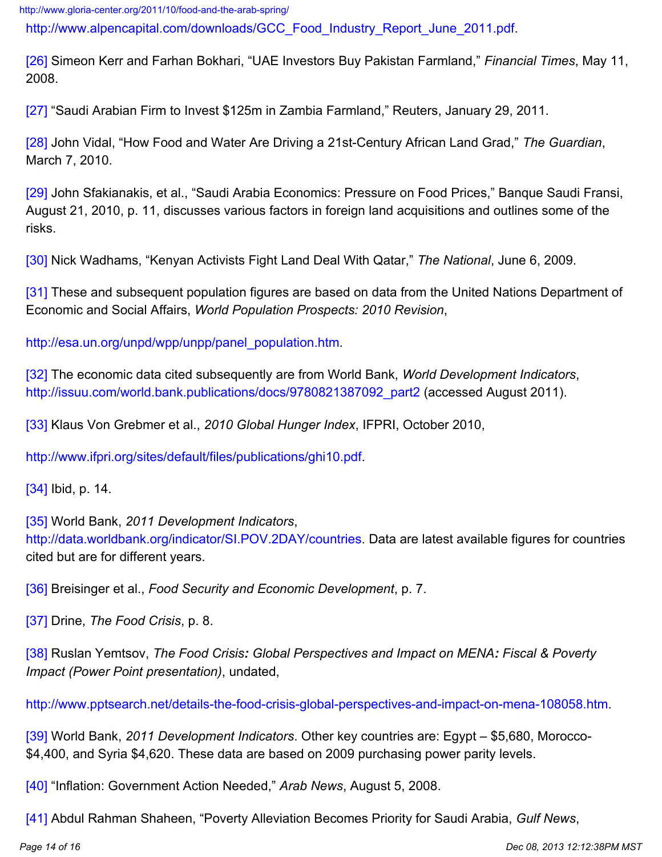[http://www.alpencapital.com/downloads/GCC\\_Food\\_Industry\\_Report\\_June\\_2011.pdf](http://www.alpencapital.com/downloads/GCC_Food_Industry_Report_June_2011.pdf).

[\[26\]](http://www.gloria-center.org/2011/10/food-and-the-arab-spring/#_ednref26) Simeon Kerr and Farhan Bokhari, "UAE Investors Buy Pakistan Farmland," *Financial Times*, May 11, 2008.

[\[27\]](http://www.gloria-center.org/2011/10/food-and-the-arab-spring/#_ednref27) "Saudi Arabian Firm to Invest \$125m in Zambia Farmland," Reuters, January 29, 2011.

[\[28\]](http://www.gloria-center.org/2011/10/food-and-the-arab-spring/#_ednref28) John Vidal, "How Food and Water Are Driving a 21st-Century African Land Grad," *The Guardian*, March 7, 2010.

[\[29\]](http://www.gloria-center.org/2011/10/food-and-the-arab-spring/#_ednref29) John Sfakianakis, et al., "Saudi Arabia Economics: Pressure on Food Prices," Banque Saudi Fransi, August 21, 2010, p. 11, discusses various factors in foreign land acquisitions and outlines some of the risks.

[\[30\]](http://www.gloria-center.org/2011/10/food-and-the-arab-spring/#_ednref30) Nick Wadhams, "Kenyan Activists Fight Land Deal With Qatar," *The National*, June 6, 2009.

[\[31\]](http://www.gloria-center.org/2011/10/food-and-the-arab-spring/#_ednref31) These and subsequent population figures are based on data from the United Nations Department of Economic and Social Affairs, *World Population Prospects: 2010 Revision*,

[http://esa.un.org/unpd/wpp/unpp/panel\\_population.htm](http://esa.un.org/unpd/wpp/unpp/panel_population.htm).

[\[32\]](http://www.gloria-center.org/2011/10/food-and-the-arab-spring/#_ednref32) The economic data cited subsequently are from World Bank, *World Development Indicators*, [http://issuu.com/world.bank.publications/docs/9780821387092\\_part2](http://issuu.com/world.bank.publications/docs/9780821387092_part2) (accessed August 2011).

[\[33\]](http://www.gloria-center.org/2011/10/food-and-the-arab-spring/#_ednref33) Klaus Von Grebmer et al., *2010 Global Hunger Index*, IFPRI, October 2010,

[http://www.ifpri.org/sites/default/files/publications/ghi10.pdf.](http://www.ifpri.org/sites/default/files/publications/ghi10.pdf)

[\[34\]](http://www.gloria-center.org/2011/10/food-and-the-arab-spring/#_ednref34) Ibid, p. 14.

[\[35\]](http://www.gloria-center.org/2011/10/food-and-the-arab-spring/#_ednref35) World Bank, *2011 Development Indicators*, [http://data.worldbank.org/indicator/SI.POV.2DAY/countries.](http://data.worldbank.org/indicator/SI.POV.2DAY/countries) Data are latest available figures for countries cited but are for different years.

[\[36\]](http://www.gloria-center.org/2011/10/food-and-the-arab-spring/#_ednref36) Breisinger et al., *Food Security and Economic Development*, p. 7.

[\[37\]](http://www.gloria-center.org/2011/10/food-and-the-arab-spring/#_ednref37) Drine, *The Food Crisis*, p. 8.

[\[38\]](http://www.gloria-center.org/2011/10/food-and-the-arab-spring/#_ednref38) Ruslan Yemtsov, *The Food Crisis: Global Perspectives and Impact on MENA: Fiscal & Poverty Impact (Power Point presentation)*, undated,

[http://www.pptsearch.net/details-the-food-crisis-global-perspectives-and-impact-on-mena-108058.htm.](http://www.pptsearch.net/details-the-food-crisis-global-perspectives-and-impact-on-mena-108058.htm)

[\[39\]](http://www.gloria-center.org/2011/10/food-and-the-arab-spring/#_ednref39) World Bank, *2011 Development Indicators*. Other key countries are: Egypt – \$5,680, Morocco- \$4,400, and Syria \$4,620. These data are based on 2009 purchasing power parity levels.

[\[40\]](http://www.gloria-center.org/2011/10/food-and-the-arab-spring/#_ednref40) "Inflation: Government Action Needed," *Arab News*, August 5, 2008.

[\[41\]](http://www.gloria-center.org/2011/10/food-and-the-arab-spring/#_ednref41) Abdul Rahman Shaheen, "Poverty Alleviation Becomes Priority for Saudi Arabia, *Gulf News*,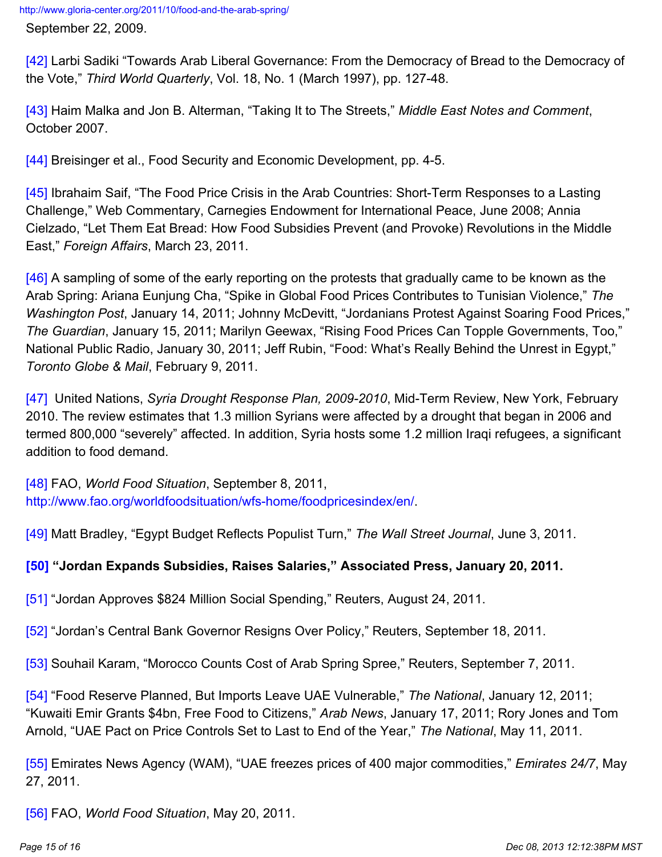September 22, 2009.

[\[42\]](http://www.gloria-center.org/2011/10/food-and-the-arab-spring/#_ednref42) Larbi Sadiki "Towards Arab Liberal Governance: From the Democracy of Bread to the Democracy of the Vote," *Third World Quarterly*, Vol. 18, No. 1 (March 1997), pp. 127-48.

[\[43\]](http://www.gloria-center.org/2011/10/food-and-the-arab-spring/#_ednref43) Haim Malka and Jon B. Alterman, "Taking It to The Streets," *Middle East Notes and Comment*, October 2007.

[\[44\]](http://www.gloria-center.org/2011/10/food-and-the-arab-spring/#_ednref44) Breisinger et al., Food Security and Economic Development, pp. 4-5.

[\[45\]](http://www.gloria-center.org/2011/10/food-and-the-arab-spring/#_ednref45) Ibrahaim Saif, "The Food Price Crisis in the Arab Countries: Short-Term Responses to a Lasting Challenge," Web Commentary, Carnegies Endowment for International Peace, June 2008; Annia Cielzado, "Let Them Eat Bread: How Food Subsidies Prevent (and Provoke) Revolutions in the Middle East," *Foreign Affairs*, March 23, 2011.

[\[46\]](http://www.gloria-center.org/2011/10/food-and-the-arab-spring/#_ednref46) A sampling of some of the early reporting on the protests that gradually came to be known as the Arab Spring: Ariana Eunjung Cha, "Spike in Global Food Prices Contributes to Tunisian Violence," *The Washington Post*, January 14, 2011; Johnny McDevitt, "Jordanians Protest Against Soaring Food Prices," *The Guardian*, January 15, 2011; Marilyn Geewax, "Rising Food Prices Can Topple Governments, Too," National Public Radio, January 30, 2011; Jeff Rubin, "Food: What's Really Behind the Unrest in Egypt," *Toronto Globe & Mail*, February 9, 2011.

[\[47\]](http://www.gloria-center.org/2011/10/food-and-the-arab-spring/#_ednref47) United Nations, *Syria Drought Response Plan, 2009-2010*, Mid-Term Review, New York, February 2010. The review estimates that 1.3 million Syrians were affected by a drought that began in 2006 and termed 800,000 "severely" affected. In addition, Syria hosts some 1.2 million Iraqi refugees, a significant addition to food demand.

[\[48\]](http://www.gloria-center.org/2011/10/food-and-the-arab-spring/#_ednref48) FAO, *World Food Situation*, September 8, 2011, <http://www.fao.org/worldfoodsituation/wfs-home/foodpricesindex/en/>.

[\[49\]](http://www.gloria-center.org/2011/10/food-and-the-arab-spring/#_ednref49) Matt Bradley, "Egypt Budget Reflects Populist Turn," *The Wall Street Journal*, June 3, 2011.

### **[\[50\]](http://www.gloria-center.org/2011/10/food-and-the-arab-spring/#_ednref50) "Jordan Expands Subsidies, Raises Salaries," Associated Press, January 20, 2011.**

[\[51\]](http://www.gloria-center.org/2011/10/food-and-the-arab-spring/#_ednref51) "Jordan Approves \$824 Million Social Spending," Reuters, August 24, 2011.

[\[52\]](http://www.gloria-center.org/2011/10/food-and-the-arab-spring/#_ednref52) "Jordan's Central Bank Governor Resigns Over Policy," Reuters, September 18, 2011.

[\[53\]](http://www.gloria-center.org/2011/10/food-and-the-arab-spring/#_ednref53) Souhail Karam, "Morocco Counts Cost of Arab Spring Spree," Reuters, September 7, 2011.

[\[54\]](http://www.gloria-center.org/2011/10/food-and-the-arab-spring/#_ednref54) "Food Reserve Planned, But Imports Leave UAE Vulnerable," *The National*, January 12, 2011; "Kuwaiti Emir Grants \$4bn, Free Food to Citizens," *Arab News*, January 17, 2011; Rory Jones and Tom Arnold, "UAE Pact on Price Controls Set to Last to End of the Year," *The National*, May 11, 2011.

[\[55\]](http://www.gloria-center.org/2011/10/food-and-the-arab-spring/#_ednref55) Emirates News Agency (WAM), "UAE freezes prices of 400 major commodities," *Emirates 24/7*, May 27, 2011.

[\[56\]](http://www.gloria-center.org/2011/10/food-and-the-arab-spring/#_ednref56) FAO, *World Food Situation*, May 20, 2011.